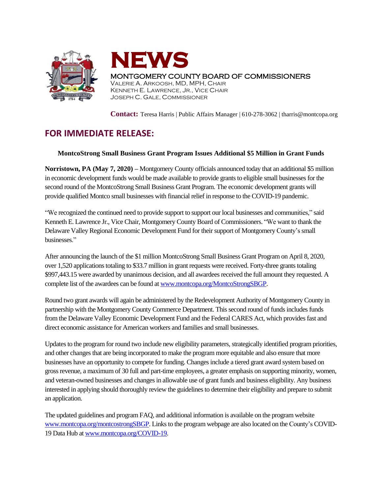



**Contact:** Teresa Harris | Public Affairs Manager | 610-278-3062 | tharris@montcopa.org

## **FOR IMMEDIATE RELEASE:**

## **MontcoStrong Small Business Grant Program Issues Additional \$5 Million in Grant Funds**

**Norristown, PA (May 7, 2020) –** Montgomery County officials announced today that an additional \$5 million in economic development funds would be made available to provide grants to eligible small businesses for the second round of the MontcoStrong Small Business Grant Program. The economic development grants will provide qualified Montco small businesses with financial relief in response to the COVID-19 pandemic.

"We recognized the continued need to provide support to support our local businesses and communities," said Kenneth E. Lawrence Jr., Vice Chair, Montgomery County Board of Commissioners. "We want to thank the Delaware Valley Regional Economic Development Fund for their support of Montgomery County's small businesses."

After announcing the launch of the \$1 million MontcoStrong Small Business Grant Program on April 8, 2020, over 1,520 applicationstotaling to \$33.7 million in grant requests were received. Forty-three grantstotaling \$997,443.15 were awarded by unanimous decision, and all awardees received the full amount they requested. A complete list of the awardees can be found at [www.montcopa.org/MontcoStrongSBGP.](http://www.montcopa.org/MontcoStrongSBGP)

Round two grant awards will again be administered by the Redevelopment Authority of Montgomery County in partnership with the Montgomery County Commerce Department. This second round of funds includes funds from the Delaware Valley Economic Development Fund and the Federal CARES Act, which providesfast and direct economic assistance for American workers and families and small businesses.

Updates to the program for round two include new eligibility parameters, strategically identified program priorities, and other changes that are being incorporated to make the program more equitable and also ensure that more businesses have an opportunity to compete for funding. Changesinclude a tiered grant award system based on grossrevenue, a maximum of 30 full and part-time employees, a greater emphasis on supporting minority, women, and veteran-owned businesses and changesin allowable use of grant funds and business eligibility. Any business interested in applying should thoroughly review the guidelines to determine their eligibility and prepare to submit an application.

The updated guidelines and program FAQ, and additional information is available on the program website [www.montcopa.org/montcostrongSBGP.](http://www.montcopa.org/montcostrongSBGP) Links to the program webpage are also located on the County's COVID-19 Data Hub at [www.montcopa.org/COVID-19.](http://www.montcopa.org/COVID-19)